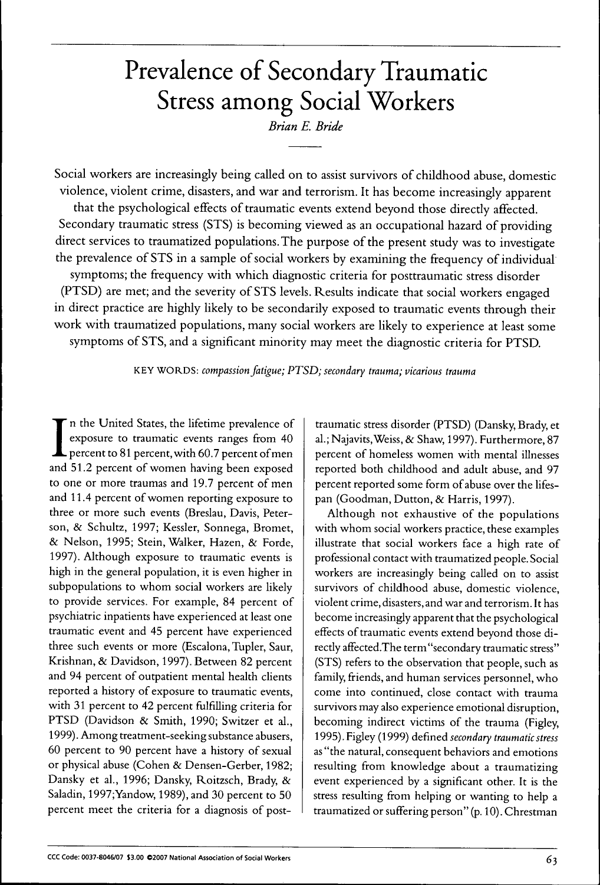# Prevalence of Secondary Traumatic Stress among Social Workers

*Brian E. Bride*

Social workers are increasingly being called on to assist survivors of childhood abuse, domestic violence, violent crime, disasters, and war and terrorism. It has become increasingly apparent that the psychological effects of traumatic events extend beyond those directly affected. Secondary traumatic stress (STS) is becoming viewed as an occupational hazard of providing direct services to traumatized populations. The purpose of the present study was to investigate the prevalence of STS in a sample of social workers by examining the frequency of individual symptoms; the frequency with which diagnostic criteria for posttraumatic stress disorder (PTSD) are met; and the severity of STS levels. Results indicate that social workers engaged in direct practice are highly likely to be secondarily exposed to traumatic events through their work with traumatized populations, many social workers are likely to experience at least some symptoms of STS, and a significant minority may meet the diagnostic criteria for PTSD.

KEY WORDS: *compassion fatigue; PTSD; secondary trauma; vicarious trauma*

In the United States, the lifetime prevalence of exposure to traumatic events ranges from 40 percent to 81 percent, with 60.7 percent of men and 51.2 percent of women having been exposed *n* the United States, the lifetime prevalence of exposure to traumatic events ranges from 40  $\mathsf L$  percent to 81 percent, with 60.7 percent of men to one or more traumas and 19.7 percent of men and 11.4 percent of women reporting exposure to three or more such events (Breslau, Davis, Peterson, & Schultz, 1997; Kessler, Sonnega, Bromet, & Nelson, 1995; Stein, Walker, Hazen, & Forde, 1997). Although exposure to traumatic events is high in the general population, it is even higher in subpopulations to whom social workers are likely to provide services. For example, 84 percent of psychiatric inpatients have experienced at least one traumatic event and 45 percent have experienced three such events or more (Escalona, Tupler, Saur, Krishnan, & Davidson, 1997). Between 82 percent and 94 percent of outpatient mental health clients reported a history of exposure to traumatic events, with 31 percent to 42 percent fulfilling criteria for PTSD (Davidson & Smith, 1990; Switzer et al., 1999). Among treatment-seeking substance abusers, 60 percent to 90 percent have a history of sexual or physical abuse (Cohen & Densen-Gerber, 1982; Dansky et al., 1996; Dansky, Roitzsch, Brady, & Saladin, 1997;Yandow, 1989), and 30 percent to 50 percent meet the criteria for a diagnosis of post-

traumatic stress disorder (PTSD) (Dansky, Brady, et al.; Najavits,Weiss, & Shaw, 1997). Furthermore, 87 percent of homeless women with mental illnesses reported both childhood and adult abuse, and 97 percent reported some form of abuse over the lifespan (Goodman, Dutton, & Harris, 1997).

Although not exhaustive of the populations with whom social workers practice, these examples illustrate that social workers face a high rate of professional contact with traumatized people. Social workers are increasingly being called on to assist survivors of childhood abuse, domestic violence, violent crime, disasters, and war and terrorism. It has become increasingly apparent that the psychological effects of traumatic events extend beyond those directly affected.The term "secondary traumatic stress" (STS) refers to the observation that people, such as family, friends, and human services personnel, who come into continued, close contact with trauma survivors may also experience emotional disruption, becoming indirect victims of the trauma (Figley, 1995). Figley (1999) defined *secondary traumatic stress* as "the natural, consequent behaviors and emotions resulting from knowledge about a traumatizing event experienced by a significant other. It is the stress resulting from helping or wanting to help a traumatized or suffering person" (p. 10). Chrestman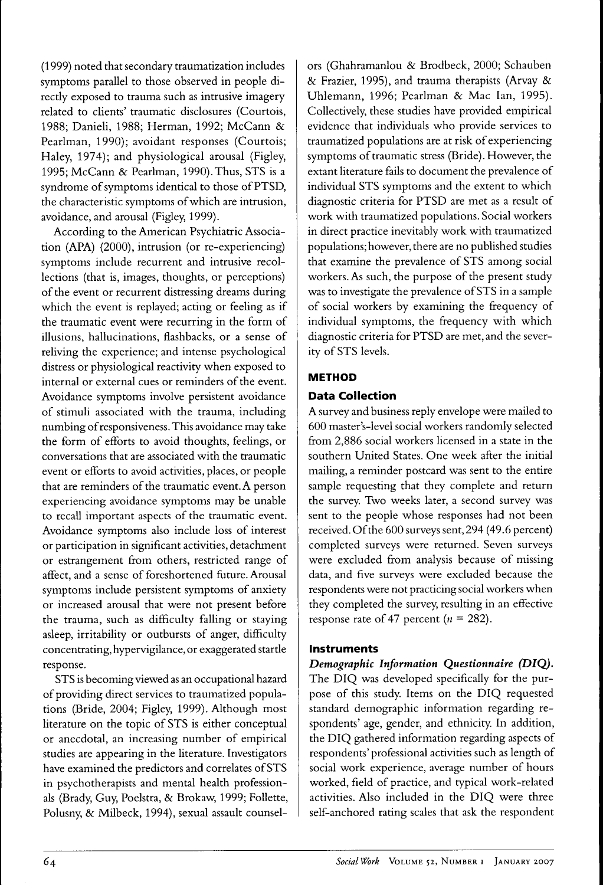(1999) noted that secondary traumatization includes symptoms parallel to those observed in people directly exposed to trauma such as intrusive imagery related to clients' traumatic disclosures (Courtois, 1988; Danieli, 1988; Herman, 1992; McCann & Pearlman, 1990); avoidant responses (Courtois; Haley, 1974); and physiological arousal (Figley, 1995; McCann & Pearlman, 1990).Thus, STS is a syndrome of symptoms identical to those of PTSD, the characteristic symptoms of which are intrusion, avoidance, and arousal (Figley, 1999).

According to the American Psychiatric Association (APA) (2000), intrusion (or re-experiencing) symptoms include recurrent and intrusive recollections (that is, images, thoughts, or perceptions) of the event or recurrent distressing dreams during which the event is replayed; acting or feeling as if the traumatic event were recurring in the form of illusions, hallucinations, flashbacks, or a sense of reliving the experience; and intense psychological distress or physiological reactivity when exposed to internal or external cues or reminders of the event. Avoidance symptoms involve persistent avoidance of stimuli associated with the trauma, including numbing of responsiveness. This avoidance may take the form of efforts to avoid thoughts, feelings, or conversations that are associated with the traumatic event or efforts to avoid activities, places, or people that are reminders of the traumatic event. A person experiencing avoidance symptoms may be unable to recall important aspects of the traumatic event. Avoidance symptoms also include loss of interest or participation in significant activities, detachment or estrangement from others, restricted range of affect, and a sense of foreshortened future. Arousal symptoms include persistent symptoms of anxiety or increased arousal that were not present before the trauma, such as difficulty falling or staying asleep, irritability or outbursts of anger, difficulty concentrating, hypervigilance, or exaggerated startle response.

STS is becoming viewed as an occupational hazard of providing direct services to traumatized populations (Bride, 2004; Figley, 1999). Although most literature on the topic of STS is either conceptual or anecdotal, an increasing number of empirical studies are appearing in the literature. Investigators have examined the predictors and correlates of STS in psychotherapists and mental health professionals (Brady, Guy, Poelstra, & Brokaw, 1999; Follette, Polusny, & Milbeck, 1994), sexual assault counselors (Ghahramanlou & Brodbeck, 2000; Schauben & Frazier, 1995), and trauma therapists (Arvay & Uhlemann, 1996; Pearlman & Mac Ian, 1995). Collectively, these studies have provided empirical evidence that individuals who provide services to traumatized populations are at risk of experiencing symptoms of traumatic stress (Bride). However, the extant literature fails to document the prevalence of individual STS symptoms and the extent to which diagnostic criteria for PTSD are met as a result of work with traumatized populations. Social workers in direct practice inevitably work with traumatized populations; however, there are no published studies that examine the prevalence of STS among social workers. As such, the purpose of the present study was to investigate the prevalence of STS in a sample of social w^orkers by examining the frequency of individual symptoms, the frequency with which diagnostic criteria for PTSD are met, and the severity of STS levels.

# **METHOD**

#### **Data Collection**

A survey and business reply envelope were mailed to 600 master's-level social workers randomly selected from 2,886 social workers licensed in a state in the southern United States. One week after the initial mailing, a reminder postcard was sent to the entire sample requesting that they complete and return the survey. Two weeks later, a second survey was sent to the people whose responses had not been received. Of the 600 surveys sent, 294 (49.6 percent) completed surveys were returned. Seven surveys were excluded from analysis because of missing data, and five surveys were excluded because the respondents were not practicing social workers when they completed the survey, resulting in an effective response rate of 47 percent *{n =* 282).

#### **Instruments**

*Demographic Information Questionnaire (DIQ).* The DIQ was developed specifically for the purpose of this study. Items on the DIQ requested standard demographic information regarding respondents' age, gender, and ethnicity. In addition, the DIQ gathered information regarding aspects of respondents' professional activities such as length of social work experience, average number of hours worked, field of practice, and typical work-related activities. Also included in the DIQ were three self-anchored rating scales that ask the respondent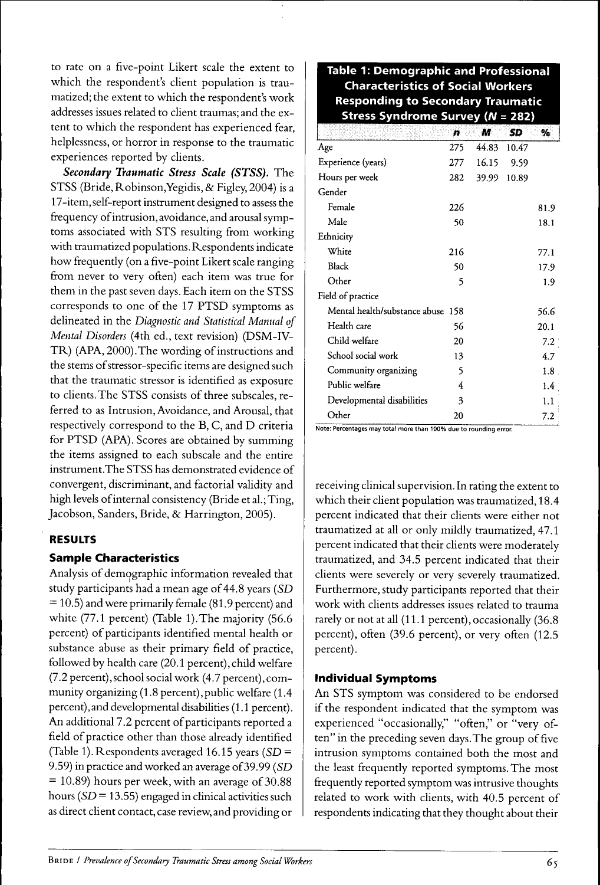to rate on a five-point Likert scale the extent to which the respondent's client population is traumatized; the extent to which the respondent's work addresses issues related to client traumas; and the extent to which the respondent has experienced fear, helplessness, or horror in response to the traumatic experiences reported by clients.

*Secondary Traumatic Stress Scale (STSS).* The STSS (Bride, Robinson,Yegidis,& Figley, 2004) is a 17-item, self-report instrument designed to assess the frequency of intrusion, avoidance, and arousal symptoms associated with STS resulting from working with traumatized populations. Respondents indicate how frequently (on a five-point Likert scale ranging from never to very often) each item was true for them in the past seven days. Each item on the STSS corresponds to one of the 17 PTSD symptoms as delineated in the *Diagnostic and Statistical Manual of Mental Disorders* (4th ed., text revision) (DSM-IV-TR) (APA, 2000). The wording of instructions and the stems of stressor-specific items are designed such that the traumatic stressor is identified as exposure to clients. The STSS consists of three subscales, referred to as Intrusion, Avoidance, and Arousal, that respectively correspond to the B, C, and D criteria for PTSD (APA). Scores are obtained by summing the items assigned to each subscale and the entire instrument. The STSS has demonstrated evidence of convergent, discriminant, and factorial validity and high levels of internal consistency (Bride et al.; Ting, Jacobson, Sanders, Bride, & Harrington, 2005).

# **RESULTS**

# **Sample Characteristics**

Analysis of demographic information revealed that study participants had a mean age of 44.8 years *{SD*  $= 10.5$ ) and were primarily female (81.9 percent) and white (77.1 percent) (Table 1). The majority (56.6 percent) of participants identified mental health or substance abuse as their primary field of practice, followed by health care (20.1 percent), child welfare (7.2 percent),school social work (4.7 percent),community organizing (1.8 percent), public welfare (1.4 percent), and developmental disabilities (1.1 percent). An additional 7.2 percent of participants reported a field of practice other than those already identified (Table 1). Respondents averaged 16.15 years *{SD =* 9.59) in practice and worked an average of 39.99 *{SD =* 10.89) hours per week, with an average of 30.88 hours (SD = 13.55) engaged in clinical activities such as direct client contact, case review, and providing or

#### Table 1: Demographic and Professional Characteristics of Social Workers Responding to Secondary Traumatic Stress Syndrome Survey (N = 282)

|                                   | n   | м     | <b>SD</b> | %             |
|-----------------------------------|-----|-------|-----------|---------------|
| Age                               | 275 | 44.83 | 10.47     |               |
| Experience (years)                | 277 | 16.15 | 9.59      |               |
| Hours per week                    | 282 | 39.99 | 10.89     |               |
| Gender                            |     |       |           |               |
| Female                            | 226 |       |           | 81.9          |
| Male                              | 50  |       |           | 18.1          |
| Ethnicity                         |     |       |           |               |
| White                             | 216 |       |           | 77.1          |
| Black                             | 50  |       |           | 17.9          |
| Other                             | 5   |       |           | 1.9           |
| Field of practice                 |     |       |           |               |
| Mental health/substance abuse 158 |     |       |           | 56.6          |
| Health care                       | 56  |       |           | 20.1          |
| Child welfare                     | 20  |       |           | $7.2^{\circ}$ |
| School social work                | 13  |       |           | 4.7           |
| Community organizing              | 5   |       |           | 1.8           |
| Public welfare                    | 4   |       |           | 1.4           |
| Developmental disabilities        | 3   |       |           | 1.1           |
| Other                             | 20  |       |           | 7.2           |

Note: Percentages may total more than 100% due to rounding error.

receiving clinical supervision. In rating the extent to which their client population was traumatized, 18.4 percent indicated that their clients were either not traumatized at all or only mildly traumatized, 47.1 percent indicated that their clients were moderately traumatized, and 34.5 percent indicated that their clients were severely or very severely traumatized. Furthermore, study participants reported that their work with clients addresses issues related to trauma rarely or not at all (11.1 percent), occasionally (36.8 percent), often (39.6 percent), or very often (12.5 percent).

#### **Individual Symptoms**

An STS symptom was considered to be endorsed if the respondent indicated that the symptom was experienced "occasionally," "often," or "very often" in the preceding seven days.The group of five intrusion symptoms contained both the most and the least frequently reported symptoms. The most frequently reported symptom was intrusive thoughts related to work with clients, with 40.5 percent of respondents indicating that they thought about their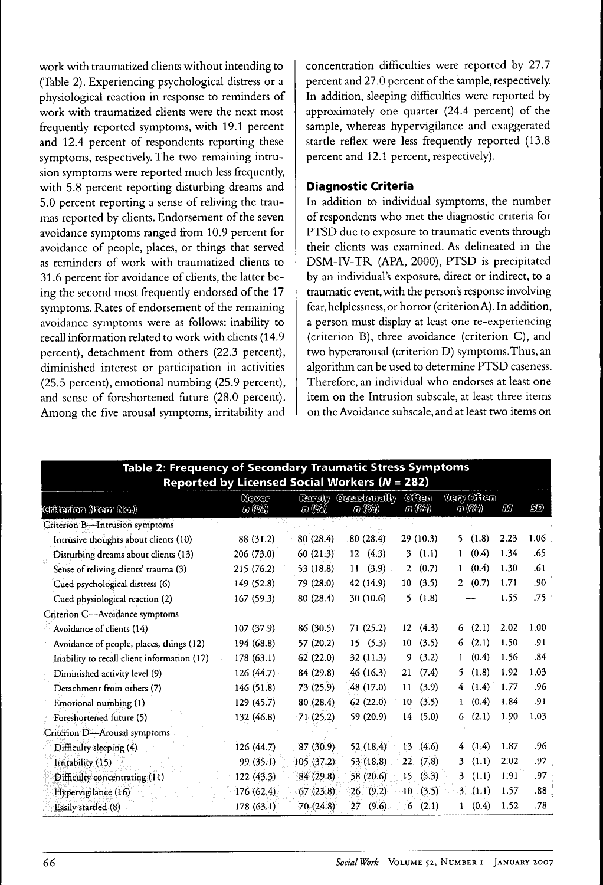work with traumatized clients without intending to (Table 2). Experiencing psychological distress or a physiological reaction in response to reminders of work with traumatized clients were the next most frequently reported symptoms, with 19.1 percent and 12.4 percent of respondents reporting these symptoms, respectively. The two remaining intrusion symptoms were reported much less frequently, with 5.8 percent reporting disturbing dreams and 5.0 percent reporting a sense of reliving the traumas reported by clients. Endorsement of the seven avoidance symptoms ranged from 10.9 percent for avoidance of people, places, or things that served as reminders of work with traumatized clients to 31.6 percent for avoidance of clients, the latter being the second most frequently endorsed of the 17 symptoms. Rates of endorsement of the remaining avoidance symptoms were as follows: inability to recall information related to work with clients (14.9 percent), detachment from others (22.3 percent), diminished interest or participation in activities (25.5 percent), emotional numbing (25.9 percent), and sense of foreshortened future (28.0 percent). Among the five arousal symptoms, irritability and concentration difficulties were reported by 27.7 percent and 27.0 percent of the sample, respectively In addition, sleeping difficulties were reported by approximately one quarter (24.4 percent) of the sample, whereas hypervigilance and exaggerated startle reflex were less frequently reported (13.8 percent and 12.1 percent, respectively).

#### **Diagnostic Criteria**

In addition to individual symptoms, the number of respondents who met the diagnostic criteria for PTSD due to exposure to traumatic events through their clients was examined. As delineated in the DSM-IV-TR (APA, 2000), PTSD is precipitated by an individual's exposure, direct or indirect, to a traumatic event, with the person's response involving fear,helplessness,or horror (criterion A). In addition, a person must display at least one re-experiencing (criterion B), three avoidance (criterion C), and two hyperarousal (criterion D) symptoms.Thus, an algorithm can be used to determine PTSD caseness. Therefore, an individual who endorses at least one item on the Intrusion subscale, at least three items on the Avoidance subscale, and at least two items on

| Table 2: Frequency of Secondary Traumatic Stress Symptoms<br>Reported by Licensed Social Workers ( $N = 282$ ) |                |           |                                     |                       |                         |      |      |  |
|----------------------------------------------------------------------------------------------------------------|----------------|-----------|-------------------------------------|-----------------------|-------------------------|------|------|--|
| Gritarian (Nam No.)                                                                                            | Mexen<br>@ (%) | @ (98)    | Rarchy Occasionally<br><i>ග</i> (%) | Often<br>ග (මහි)      | Very Offen<br>@ (%)     | 650  | SD   |  |
| Criterion B-Intrusion symptoms                                                                                 |                |           |                                     |                       |                         |      |      |  |
| Intrusive thoughts about clients (10)                                                                          | 88 (31.2)      | 80 (28.4) | 80(28.4)                            | 29(10.3)              | (1.8)<br>5.             | 2.23 | 1.06 |  |
| Disturbing dreams about clients (13)                                                                           | 206 (73.0)     | 60(21.3)  | 12(4.3)                             | (1.1)<br>3            | (0.4)<br>1              | 1.34 | .65  |  |
| Sense of reliving clients' trauma (3)                                                                          | 215 (76.2)     | 53 (18.8) | (3.9)<br>11                         | $\mathbf{2}$<br>(0.7) | (0.4)<br>1              | 1.30 | .61  |  |
| Cued psychological distress (6)                                                                                | 149 (52.8)     | 79 (28.0) | 42 (14.9)                           | (3.5)<br>10           | $\overline{2}$<br>(0.7) | 1.71 | .90  |  |
| Cued physiological reaction (2)                                                                                | 167 (59.3)     | 80(28.4)  | 30 (10.6)                           | 5.<br>(1.8)           |                         | 1.55 | .75  |  |
| Criterion C-Avoidance symptoms                                                                                 |                |           |                                     |                       |                         |      |      |  |
| Avoidance of clients (14)                                                                                      | 107 (37.9)     | 86 (30.5) | 71 (25.2)                           | (4.3)<br>12           | (2.1)<br>6              | 2.02 | 1.00 |  |
| Avoidance of people, places, things (12)                                                                       | 194 (68.8)     | 57 (20.2) | 15(5.3)                             | (3.5)<br>10           | (2.1)<br>6              | 1.50 | .91  |  |
| Inability to recall client information (17)                                                                    | 178 (63.1)     | 62(22.0)  | 32 (11.3)                           | (3.2)<br>9            | (0.4)<br>1              | 1.56 | .84  |  |
| Diminished activity level (9)                                                                                  | 126(44.7)      | 84 (29.8) | 46 (16.3)                           | (7.4)<br>21           | (1.8)<br>5.             | 1.92 | 1.03 |  |
| Detachment from others (7)                                                                                     | 146 (51.8)     | 73(25.9)  | 48 (17.0)                           | (3.9)<br>11           | (1.4)<br>4              | 1.77 | .96  |  |
| Emotional numbing (1)                                                                                          | 129(45.7)      | 80(28.4)  | 62(22.0)                            | 10<br>(3.5)           | (0.4)<br>1              | 1.84 | .91  |  |
| Foreshortened future (5)                                                                                       | 132 (46.8)     | 71(25.2)  | 59 (20.9)                           | 14<br>(5.0)           | (2.1)<br>6              | 1.90 | 1.03 |  |
| Criterion D-Arousal symptoms                                                                                   |                |           |                                     |                       |                         |      |      |  |
| Difficulty sleeping (4)                                                                                        | 126(44.7)      | 87(30.9)  | 52(18.4)                            | 13<br>(4.6)           | (1.4)<br>4              | 1.87 | .96  |  |
| Irritability (15)                                                                                              | 99 (35.1)      | 105(37.2) | 53(18.8)                            | 22<br>(7.8)           | 3<br>(1.1)              | 2.02 | .97  |  |
| Difficulty concentrating (11)                                                                                  | 122 (43.3)     | 84 (29.8) | 58 (20.6)                           | (5.3)<br>15           | 3(1.1)                  | 1.91 | .97  |  |
| Hypervigilance (16)                                                                                            | 176(62.4)      | 67(23.8)  | 26(9.2)                             | 10(3.5)               | 3(1.1)                  | 1.57 | 88.  |  |
| Easily startled (8)                                                                                            | 178(63.1)      | 70 (24.8) | (9.6)<br>27 <sub>2</sub>            | 6(2.1)                | (0.4)<br>1              | 1.52 | .78  |  |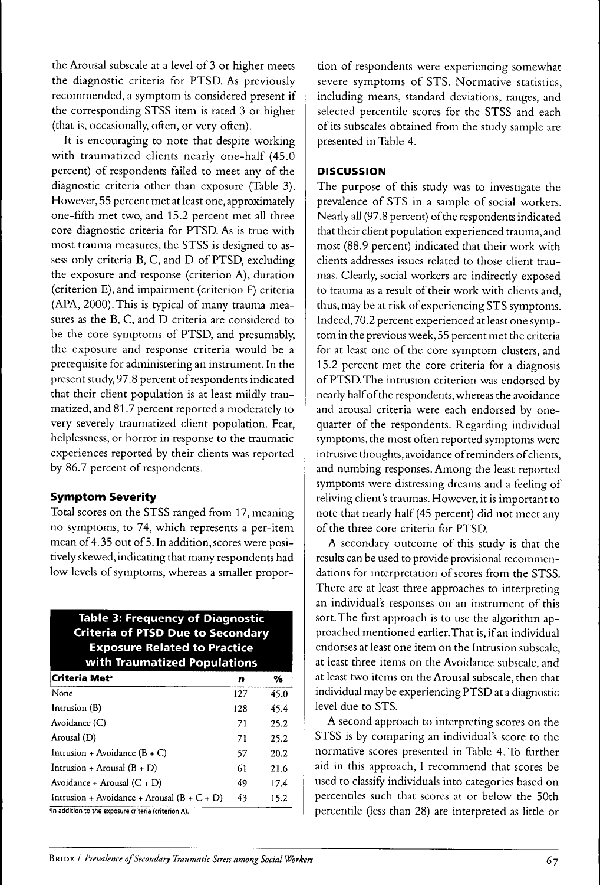the Arousal suhscale at a level of 3 or higher meets the diagnostic criteria for PTSD. As previously recommended, a symptom is considered present if the corresponding STSS item is rated 3 or higher (that is, occasionally, often, or very often).

It is encouraging to note that despite working with traumatized clients nearly one-half (45.0 percent) of respondents failed to meet any of the diagnostic criteria other than exposure (Table 3). However, 55 percent met at least one, approximately one-fifth met two, and 15.2 percent met all three core diagnostic criteria for PTSD. As is true with most trauma measures, the STSS is designed to assess only criteria B, C, and D of PTSD, excluding the exposure and response (criterion A), duration (criterion E), and impairment (criterion F) criteria (APA, 2000). This is typical of many trauma measures as the B, C, and D criteria are considered to be the core symptoms of PTSD, and presumably, the exposure and response criteria would be a prerequisite for administering an instrument. In the present study, 97.8 percent of respondents indicated that their client population is at least mildly traumatized, and 81.7 percent reported a moderately to very severely traumatized client population. Fear, helplessness, or horror in response to the traumatic experiences reported by their clients was reported by 86.7 percent of respondents.

# **Symptom Severity**

Total scores on the STSS ranged from 17, meaning no symptoms, to 74, which represents a per-item mean of 4.35 out of 5. In addition, scores were positively skewed, indicating that many respondents had low levels of symptoms, whereas a smaller propor-

Table 3: Frequency of Diagnostic Criteria of PTSD Due to Secondary Exposure Related to Practice with Traumatized Populations

| <b>Criteria Meta</b>                          | n   | %    |
|-----------------------------------------------|-----|------|
| None                                          | 127 | 45.0 |
| Intrusion (B)                                 | 128 | 45.4 |
| Avoidance (C)                                 | 71  | 25.2 |
| Arousal (D)                                   | 71  | 25.2 |
| Intrusion + Avoidance $(B + C)$               | 57  | 20.2 |
| Intrusion + Arousal $(B + D)$                 | 61  | 21.6 |
| Avoidance + Arousal $(C + D)$                 | 49  | 17.4 |
| Intrusion + Avoidance + Arousal $(B + C + D)$ | 43  | 15.2 |

'In addition to the exposure criteria (criterion A).

tion of respondents were experiencing somewhat severe symptoms of STS. Normative statistics, including means, standard deviations, ranges, and selected percentile scores for the STSS and each of its subscales obtained from the study sample are presented in Table 4.

#### **DISCUSSION**

The purpose of this study was to investigate the prevalence of STS in a sample of social workers. Nearly all (97.8 percent) of the respondents indicated that their client population experienced trauma, and most (88.9 percent) indicated that their work with clients addresses issues related to those client traumas. Clearly, social workers are indirectly exposed to trauma as a result of their work with clients and, thus, may be at risk of experiencing STS symptoms. Indeed, 70.2 percent experienced at least one symptom in the previous week, 55 percent met the criteria for at least one of the core symptom clusters, and 15.2 percent met the core criteria for a diagnosis of PTSD. The intrusion criterion was endorsed by nearly half of the respondents, whereas the avoidance and arousal criteria were each endorsed hy onequarter of the respondents. Regarding individual symptoms, the most often reported symptoms were intrusive thoughts, avoidance of reminders of clients, and numbing responses. Among the least reported symptoms were distressing dreams and a feeling of reliving client's traumas. However, it is important to note that nearly half (45 percent) did not meet any of the three core criteria for PTSD.

A secondary outcome of this study is that the results can be used to provide provisional recommendations for interpretation of scores from the STSS. There are at least three approaches to interpreting an individual's responses on an instrument of this sort. The first approach is to use the algorithm approached mentioned earlier. That is, if an individual endorses at least one item on the Intrusion subscale, at least three items on the Avoidance subscale, and at least two items on the Arousal subscale, then that individual may be experiencing PTSD at a diagnostic level due to STS.

A second approach to interpreting scores on the STSS is by comparing an individual's score to the normative scores presented in Table 4. To further aid in this approach, I recommend that scores be used to classify individuals into categories based on percentiles such that scores at or below the 50th percentile (less than 28) are interpreted as little or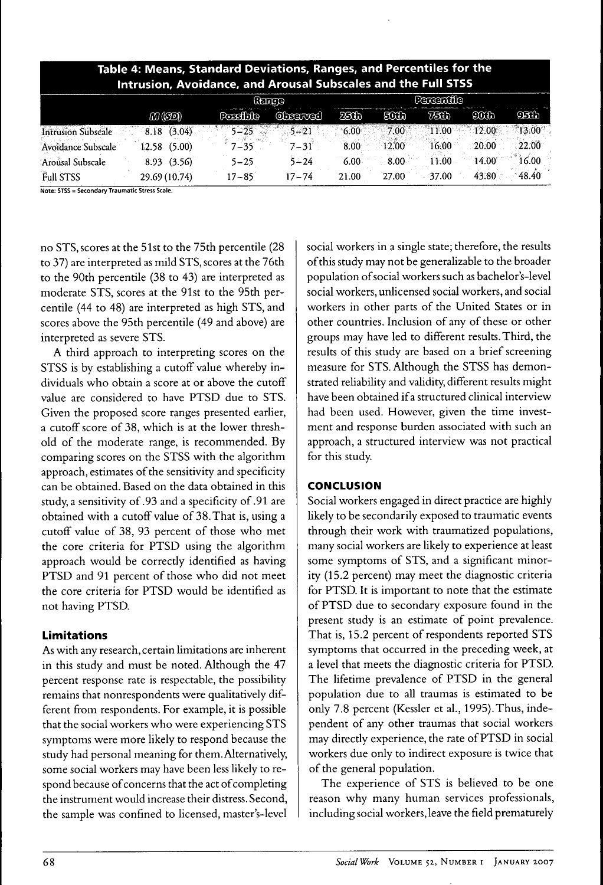| Table 4: Means, Standard Deviations, Ranges, and Percentiles for the<br>Intrusion, Avoidance, and Arousal Subscales and the Full STSS |                 |                   |                |            |       |       |       |                                     |  |
|---------------------------------------------------------------------------------------------------------------------------------------|-----------------|-------------------|----------------|------------|-------|-------|-------|-------------------------------------|--|
|                                                                                                                                       |                 |                   | <b>Rance</b>   | Percentile |       |       |       |                                     |  |
|                                                                                                                                       | 100(550)        | <b>Constitute</b> | <b>Cheaved</b> | 25tb       | 501b  | 75th  | 0000  | 95th                                |  |
| <b>Intrusion Subscale</b>                                                                                                             | 8.18(3.04)      | $5 - 25$          | $5 - 21$       | 6.00       | 7.00  | 11.00 | 12.00 | $^{\prime}$ 13.00 $^{\prime\prime}$ |  |
| Avoidance Subscale                                                                                                                    | (5.00)<br>12.58 | $7 - 35$          | $7 - 31$       | 8.00       | 12.00 | 16.00 | 20.00 | 22.00                               |  |
| Arousal Subscale                                                                                                                      | 8.93(3.56)      | $5 - 25$          | $5 - 24$       | 6.00       | 8.00  | 11.00 | 14.00 | 16.00                               |  |
| <b>Full STSS</b>                                                                                                                      | 29.69 (10.74)   | $17 - 85$         | $17 - 74$      | 21.00      | 27.00 | 37.00 | 43.80 | 48.40                               |  |

Table 4: Means, Standard Deviations, Ranges, and Percentiles for the

**Note: STSS = Secondary Traumatic Stress Scale.**

no STS, scores at the 51st to the 75th percentile (28 to 37) are interpreted as niild STS, scores at the 76th to the 90th percentile (38 to 43) are interpreted as moderate STS, scores at the 91st to the 95th percentile (44 to 48) are interpreted as high STS, and scores above the 95th percentile (49 and above) are interpreted as severe STS.

A third approach to interpreting scores on the STSS is by establishing a cutoff value whereby individuals who obtain a score at or above the cutoff value are considered to have PTSD due to STS. Given the proposed score ranges presented earlier, a cutoff score of 38, which is at the lower threshold of the moderate range, is recommended. By comparing scores on the STSS with the algorithm approach, estimates of the sensitivity and specificity can be obtained. Based on the data obtained in this study, a sensitivity of .93 and a specificity of .91 are obtained with a cutoff value of 38. That is, using a cutoff value of 38, 93 percent of those who met the core criteria for PTSD using the algorithm approach would be correctly identified as having PTSD and 91 percent of those who did not meet the core criteria for PTSD would be identified as not having PTSD.

# **Limitations**

As with any research, certain limitations are inherent in this study and must be noted. Although the 47 percent response rate is respectable, the possibility remains that nonrespondents were qualitatively different from respondents. For example, it is possible that the social workers who were experiencing STS symptoms were more likely to respond because the study had personal meaning for them. Alternatively, some social workers may have been less likely to respond because of concerns that the act of completing the instrument would increase their distress. Second, the sample was confined to licensed, master's-level

social workers in a single state; therefore, the results of this study may not be generalizable to the broader population of social workers such as bachelor's-level social workers, unlicensed social workers, and social workers in other parts of the United States or in other countries. Inclusion of any of these or other groups may have led to different results. Third, the results of this study are based on a brief screening measure for STS. Although the STSS has demonstrated reliability and validity, different results might have been obtained if a structured clinical interview had been used. However, given the time investment and response burden associated with such an approach, a structured interview was not practical for this study.

# **CONCLUSION**

Social workers engaged in direct practice are highly likely to be secondarily exposed to traumatic events through their work with traumatized populations, many social workers are likely to experience at least some symptoms of STS, and a significant minority (15.2 percent) may meet the diagnostic criteria for PTSD. It is important to note that the estimate of PTSD due to secondary exposure found in the present study is an estimate of point prevalence. That is, 15.2 percent of respondents reported STS symptoms that occurred in the preceding week, at a level that meets the diagnostic criteria for PTSD. The lifetime prevalence of PTSD in the general population due to all traumas is estimated to be only 7.8 percent (Kessler et al., 1995).Thus, independent of any other traumas that social workers may directly experience, the rate of PTSD in social workers due only to indirect exposure is twice that of the general population.

The experience of STS is believed to be one reason why many human services professionals, including social workers, leave the field prematurely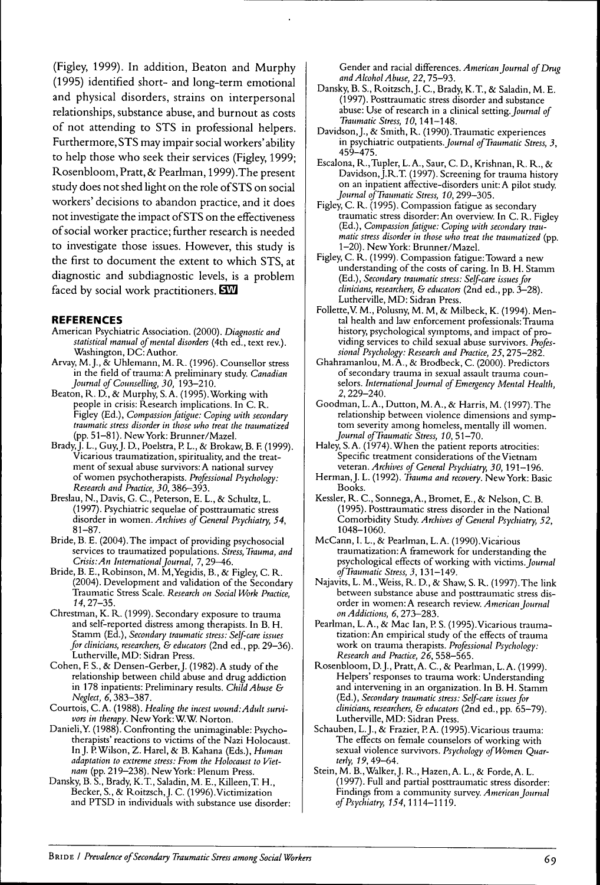(Figley, 1999). In addition, Beaton and Murphy (1995) identified short- and long-term emotional and physical disorders, strains on interpersonal relationships, substance abuse, and burnout as costs of not attending to STS in professional helpers. Furthermore, STS may impair social workers' ability to help those who seek their services (Figley, 1999; Rosenbloom, Pratt, & Pearlman, 1999) .The present study does not shed light on the role of STS on social workers' decisions to abandon practice, and it does not investigate the impact of STS on the effectiveness of social worker practice; further research is needed to investigate those issues. However, this study is the first to document the extent to which STS, at diagnostic and subdiagnostic levels, is a problem faced by social work practitioners. *ESU*

#### **REFERENCES**

- American Psychiatric Association. (2000). *Diagnostic and statistical manual of mental disorders* (4th ed., text rev.). Washington, DC: Author.
- Arvay, M. J., & Uhlemann, M. R. (1996). Counsellor stress in the field of trauma: A preliminary study. *Canadian Journal of Counselling, 30,* 193-210.
- Beaton, R. D., & Murphy, S.A. (1995).Working with people in crisis: Research implications. In C. R. Figley (Ed.), *Compassion fatigue: Coping with secondary traumatic stress disorder in those who treat the traumatized* (pp. 51-81). NewYork: Brunner/Mazel.
- Brady, J. L., Guy, J. D., Poelstra, P. L., & Brokaw, B. F. (1999). Vicarious traumatization, spirituality, and the treatment of sexual abuse survivors: A national survey of women psychotherapists. *Professional Psychology: Research and Practice, 30,*386-393.
- Breslau, N., Davis, G. C, Peterson, E. L., & Schultz, L. (1997). Psychiatric sequelae of posttraumatic stress disorder in *women. Archives of General Psychiatry, 54,* 81-87.
- Bride, B. E. (2004).The impact of providing psychosocial services to traumatized populations. *Stress, Trauma, and Crisis: An International Journal,* 7,29-46.
- Bride, B. E., Robinson, M, M,Yegidis, B., & Figley, C. R. (2004). Development and validation of the Secondary Traumatic Stress Scale. *Research on Social Work Practice, U, 27-35.*
- Chrestman, K. R. (1999). Secondary exposure to trauma and self-reported distress among therapists. In B. H. Stamm (Ed.), *Secondary traumatic stress: Self-care issues for clinicians, researchers, & educators* (2nd ed., pp. 29-36). Lutherville, MD: Sidran Press.
- Cohen, F S., & Densen-Gerber,J. (1982). A study of the relationship between child abuse and drug addiction in 178 inpatients: Preliminary results. *Child Abuse & Neglect, 6,*383-387.
- Courtois, C. A. (1988). *Healing the incest wound:Adult survivors in therapy.* New York: W.W. Norton.
- Danieli,Y. (1988). Confronting the unimaginable: Psychotherapists' reactions to victims of the Nazi Holocaust. In J. PWilson, Z. Harel, & B. Kahana (Eds.), *Human adaptation to extreme stress: From the Holocaust to Vietnam* (pp. 219-238). NewYork: Plenum Press.
- Dansky, B. S., Brady, K.T., Saladin, M. E., Killeen,T. H., Becker, S., & Roitzsch, J. C. (1996).Victimization and PTSD in individuals with substance use disorder:

Gender and racial differences. *American Journal of Drug and Alcohol Abuse,* 22,75-93.

- Dansky, B. S., Roitzsch,J. C, Brady, K.T., & Saladin, M. E. (1997). Posttraumatic stress disorder and substance abuse: Use of research in a clinical setting. Journal of *Traumatic Stress, tO,* 141-148.
- Davidson,J., & Smith, R. (1990).Traumatic experiences in psychiatric outpatients. Journal of Traumatic Stress, 3, 459-475.
- Escalona, R.,Tupler, L. A., Saur, C. D., Krishnan, R. R., & Davidson, J.R.T. (1997). Screening for trauma history on an inpatient affective-disorders unit: A pilot study. *Journal of Traumatic Stress,* JO, 299-305.
- Figley, C. R. (1995). Compassion fatigue as secondary traumatic stress disorder: An overview. In C. R. Figley (Ed.), *Compassion fatigue: Coping with secondary traumatic stress disorder in those who treat the traumatized* (pp. 1-20). NewYork: Brunner/Mazel.
- Figley, C. R. (1999). Compassion fatigue: Toward a new understanding of the costs of caring. In B. H. Stamm (Ed.), *Secondary traumatic stress: Self-care issues for clinicians, researchers, & educators* (2nd ed., pp. 3-28). Lutherville, MD: Sidran Press.
- Follette,V. M., Polusny, M. M, & Milbeck, K. (1994). Mental health and law enforcement professionals: Trauma history, psychological symptoms, and impact of providing services to child sexual abuse survivors. *Professional Psychology: Research and Practice, 25,*275-282.
- Ghahranianlou, M. A., & Brodbeck, C. (2000). Predictors of secondary trauma in sexual assault trauma counselors. *International Journal of Emergency Mental Health, 2,* 229-240.
- Goodman, L.A.,Dutton,M. A., & Harris, M. (1997).The relationship between violence dimensions and symptom severity among homeless, mentally ill women. *Journal ofTraumatic Stress, 10,* 51-70.
- Haley, S.A. (1974).When the patient reports atrocities: Specific treatment considerations of the Vietnam veteran. *Archives of Ceneral Psychiatry, 30,*191-196.
- Herman,J. L. (1992). *Trauma and recovery.* NewYork: Basic Books.
- Kessler, R. C, Sonnega, A., Bromet, E., & Nelson, C. B. (1995). Posttraumatic stress disorder in the National Comorbidity Study. *Archives of Ceneral Psychiatry, 52,* 1048-1060.
- McCann, I. L., & Pearlman, L. A. (1990).Vicarious traumatization: A framework for understanding the psychological effects of working with victims. Journal *ofTraumatic Stress, 3,*131-149.
- Najavits, L. M.,Weiss, R. D, & Shaw, S. R. (1997).The link between substance abuse and posttraumatic stress disorder in women: A research review. *American Journal on Addictions, 6,*273-283.
- Pearlman, L. A., & Mac Ian, P. S. (1995). Vicarious traumatization: An empirical study of the effects of trauma work on trauma therapists. *Professional Psychology: Research and Practice, 26,* 558-565.
- Rosenbloom, D.J., Pratt, A. C, & Pearlman, L. A. (1999). Helpers' responses to trauma work: Understanding and intervening in an organization. In B. H. Stamm (Ed.), *Secondary traumatic stress: Self-care issues for clinicians, researchers, & educators* (2nd ed., pp. 65-79). Lutherville, MD: Sidran Press.
- Schauben, L.J., & Frazier, PA. (1995).Vicarious trauma: The effects on female counselors of working with sexual violence survivors. *Psychology of Women Quarterly, 19,49-64.*
- Stein, M. B.,Walker, J. R., Hazen, A. L., & Forde, A. L. (1997). Full and partial posttraumatic stress disorder: Findings from a community survey. *American Journal of Psychiatry, 154,*1114-1119.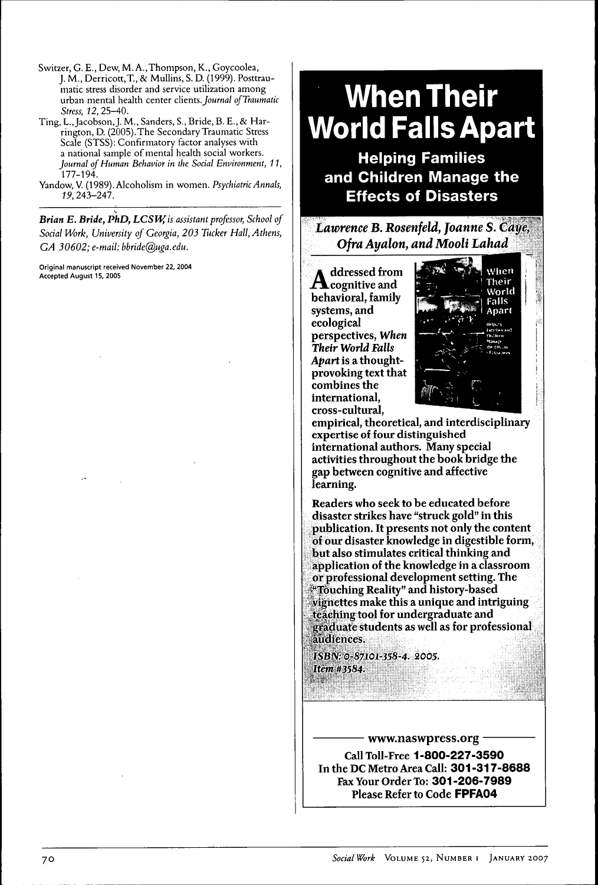Switzer, G. E., Dew, M. A.,Thompson, K., Goycoolea, J. M., Derncott,T., & MuUins, S. D. (1999). Posttraumatic stress disorder and service utilization among urban mental health center clients. Journal of Traumatic *Stress, 12,* 25-40.

Ting, L.,Jacobson,J. M., Sanders, S., Bride, B. E., & Harrington, D. (2005).The Secondary Traumatic Stress Scale (STSS): Confirmatory factor analyses with a national sample of mental health social workers. *Journal of Human Behavior in the Social Environment.* 11. 177-194.

Yandow, V. (1989). Alcoholism in women. *Psychiatric Annals, 19,*243-247.

*Brian E. Bride, PhD, LCSn^is assistant professor. School of Social Work, University of Georgia, 203 Tucker Hall, Athens, GA 30602; e-mail: bbride@uga.edu.*

Original manuscript received November 22, 2004 Accepted August 15, 2005

# **When Their World Falls Apart**

**Helping Families and Children Manage the Effects of Disasters**

*Lawrence B. Rosenfeld, Joanne S. Caye, OfraAyalon, and Moolt Lahad*

**A** ddressed from<br>behavioral, family ddressed from cognitive and systems, and ecological perspectives. *When Their World Falls Apart* is a thoughtprovoking text that combines the international, cross-cultural,



empirical, theoretical, and interdisciplinary expertise of four distinguished international authors. Many special activities throughout the book bridge the gap between cognitive and affective learning.

Readers who seek to be educated before disaster strikes have "struck gold" in this publication. It presents not only the content of our disaster knowledge in digestible form, but also stimulates critical thinking and application of the knowledge in a classroom or professional development setting. The •"Touching Reality" and history-based vignettes make this a unique and intriguing teaching tool for undergraduate and graduate students as well as for professional audiences.

*lSliN:0-87WI-itH-4.* 2005. Item #3584.

#### www.naswpress.org

CaUToU-Free **1-800-227-3590** In the DC Metro Area Call: **301-317-8688** Fax Your Order To: **301-206-7989** Please Refer to Code **FPFA04**